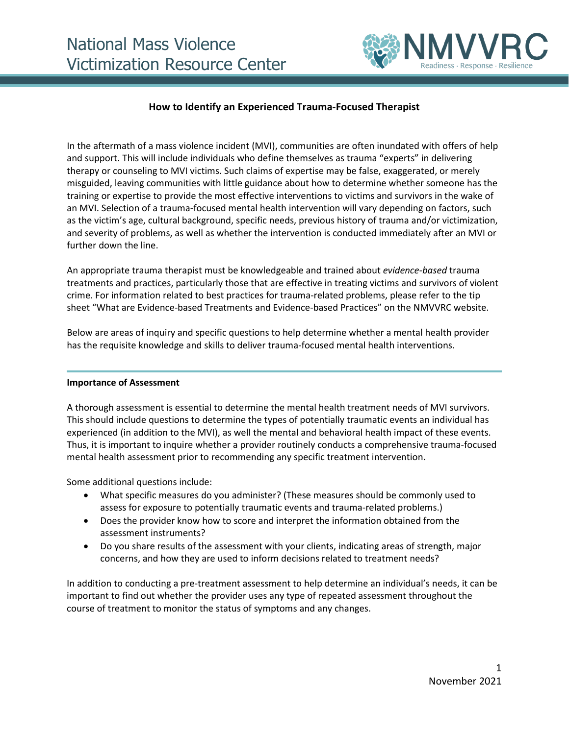

# **How to Identify an Experienced Trauma-Focused Therapist**

In the aftermath of a mass violence incident (MVI), communities are often inundated with offers of help and support. This will include individuals who define themselves as trauma "experts" in delivering therapy or counseling to MVI victims. Such claims of expertise may be false, exaggerated, or merely misguided, leaving communities with little guidance about how to determine whether someone has the training or expertise to provide the most effective interventions to victims and survivors in the wake of an MVI. Selection of a trauma-focused mental health intervention will vary depending on factors, such as the victim's age, cultural background, specific needs, previous history of trauma and/or victimization, and severity of problems, as well as whether the intervention is conducted immediately after an MVI or further down the line.

An appropriate trauma therapist must be knowledgeable and trained about *evidence-based* trauma treatments and practices, particularly those that are effective in treating victims and survivors of violent crime. For information related to best practices for trauma-related problems, please refer to the tip sheet "What are Evidence-based Treatments and Evidence-based Practices" on the NMVVRC website.

Below are areas of inquiry and specific questions to help determine whether a mental health provider has the requisite knowledge and skills to deliver trauma-focused mental health interventions.

### **Importance of Assessment**

A thorough assessment is essential to determine the mental health treatment needs of MVI survivors. This should include questions to determine the types of potentially traumatic events an individual has experienced (in addition to the MVI), as well the mental and behavioral health impact of these events. Thus, it is important to inquire whether a provider routinely conducts a comprehensive trauma-focused mental health assessment prior to recommending any specific treatment intervention.

Some additional questions include:

- What specific measures do you administer? (These measures should be commonly used to assess for exposure to potentially traumatic events and trauma-related problems.)
- Does the provider know how to score and interpret the information obtained from the assessment instruments?
- Do you share results of the assessment with your clients, indicating areas of strength, major concerns, and how they are used to inform decisions related to treatment needs?

In addition to conducting a pre-treatment assessment to help determine an individual's needs, it can be important to find out whether the provider uses any type of repeated assessment throughout the course of treatment to monitor the status of symptoms and any changes.